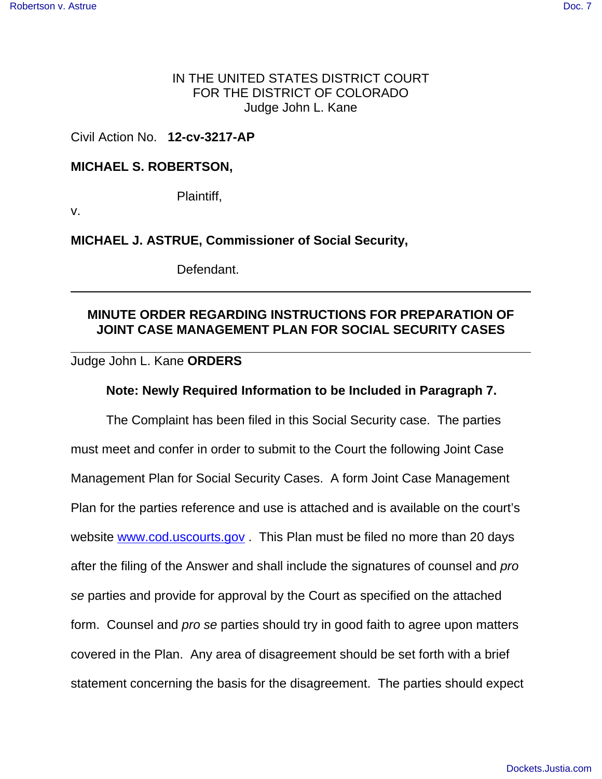### IN THE UNITED STATES DISTRICT COURT FOR THE DISTRICT OF COLORADO Judge John L. Kane

Civil Action No. **12-cv-3217-AP**

### **MICHAEL S. ROBERTSON,**

Plaintiff,

v.

**MICHAEL J. ASTRUE, Commissioner of Social Security,**

Defendant.

## **MINUTE ORDER REGARDING INSTRUCTIONS FOR PREPARATION OF JOINT CASE MANAGEMENT PLAN FOR SOCIAL SECURITY CASES**

#### Judge John L. Kane **ORDERS**

#### **Note: Newly Required Information to be Included in Paragraph 7.**

The Complaint has been filed in this Social Security case. The parties must meet and confer in order to submit to the Court the following Joint Case Management Plan for Social Security Cases. A form Joint Case Management Plan for the parties reference and use is attached and is available on the court's website www.cod.uscourts.gov. This Plan must be filed no more than 20 days after the filing of the Answer and shall include the signatures of counsel and pro se parties and provide for approval by the Court as specified on the attached form. Counsel and *pro se* parties should try in good faith to agree upon matters covered in the Plan. Any area of disagreement should be set forth with a brief statement concerning the basis for the disagreement. The parties should expect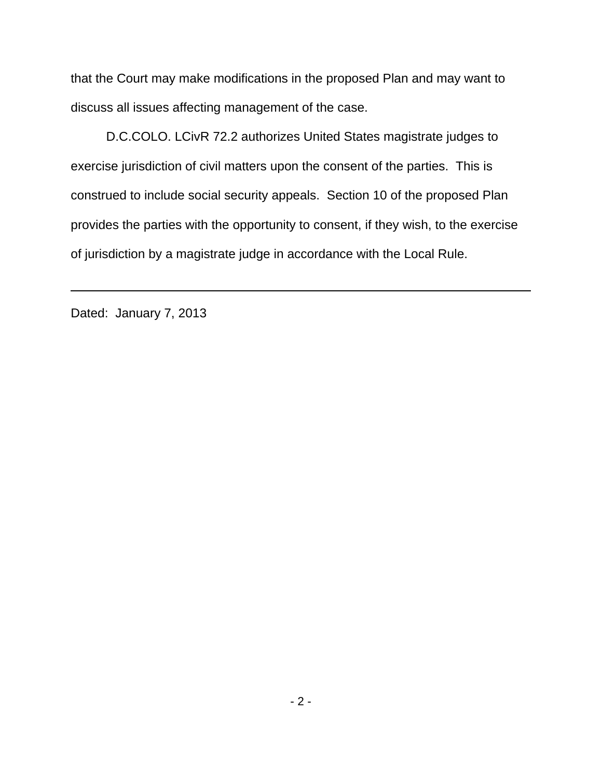that the Court may make modifications in the proposed Plan and may want to discuss all issues affecting management of the case.

D.C.COLO. LCivR 72.2 authorizes United States magistrate judges to exercise jurisdiction of civil matters upon the consent of the parties. This is construed to include social security appeals. Section 10 of the proposed Plan provides the parties with the opportunity to consent, if they wish, to the exercise of jurisdiction by a magistrate judge in accordance with the Local Rule.

Dated: January 7, 2013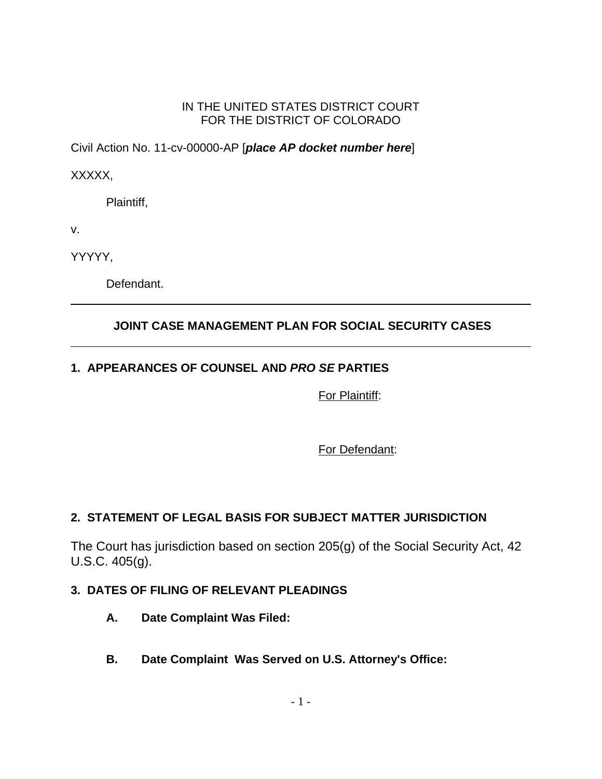#### IN THE UNITED STATES DISTRICT COURT FOR THE DISTRICT OF COLORADO

Civil Action No. 11-cv-00000-AP [**place AP docket number here**]

XXXXX,

Plaintiff,

v.

YYYYY,

Defendant.

## **JOINT CASE MANAGEMENT PLAN FOR SOCIAL SECURITY CASES**

# **1. APPEARANCES OF COUNSEL AND PRO SE PARTIES**

For Plaintiff:

For Defendant:

## **2. STATEMENT OF LEGAL BASIS FOR SUBJECT MATTER JURISDICTION**

The Court has jurisdiction based on section 205(g) of the Social Security Act, 42 U.S.C. 405(g).

## **3. DATES OF FILING OF RELEVANT PLEADINGS**

- **A. Date Complaint Was Filed:**
- **B. Date Complaint Was Served on U.S. Attorney's Office:**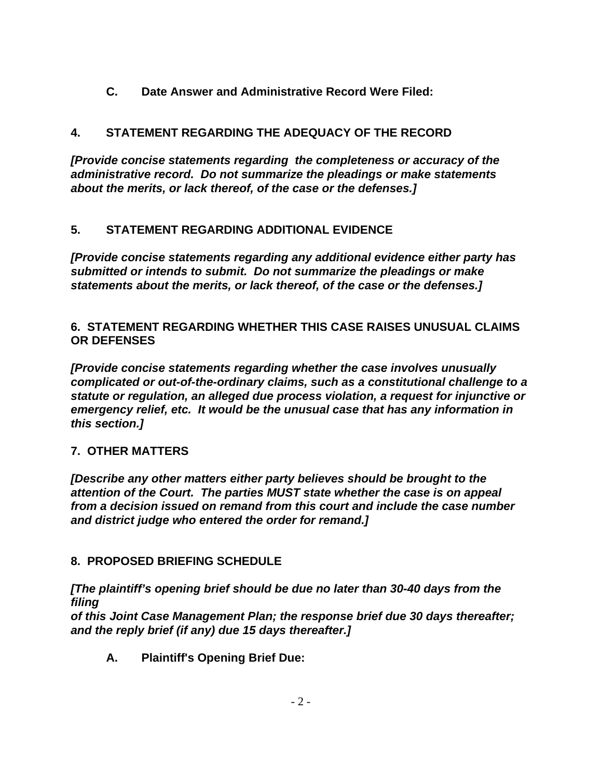**C. Date Answer and Administrative Record Were Filed:**

# **4. STATEMENT REGARDING THE ADEQUACY OF THE RECORD**

**[Provide concise statements regarding the completeness or accuracy of the administrative record. Do not summarize the pleadings or make statements about the merits, or lack thereof, of the case or the defenses.]**

# **5. STATEMENT REGARDING ADDITIONAL EVIDENCE**

**[Provide concise statements regarding any additional evidence either party has submitted or intends to submit. Do not summarize the pleadings or make statements about the merits, or lack thereof, of the case or the defenses.]**

### **6. STATEMENT REGARDING WHETHER THIS CASE RAISES UNUSUAL CLAIMS OR DEFENSES**

**[Provide concise statements regarding whether the case involves unusually complicated or out-of-the-ordinary claims, such as a constitutional challenge to a statute or regulation, an alleged due process violation, a request for injunctive or emergency relief, etc. It would be the unusual case that has any information in this section.]**

# **7. OTHER MATTERS**

**[Describe any other matters either party believes should be brought to the attention of the Court. The parties MUST state whether the case is on appeal from a decision issued on remand from this court and include the case number and district judge who entered the order for remand.]**

# **8. PROPOSED BRIEFING SCHEDULE**

**[The plaintiff's opening brief should be due no later than 30-40 days from the filing**

**of this Joint Case Management Plan; the response brief due 30 days thereafter; and the reply brief (if any) due 15 days thereafter.]**

**A. Plaintiff's Opening Brief Due:**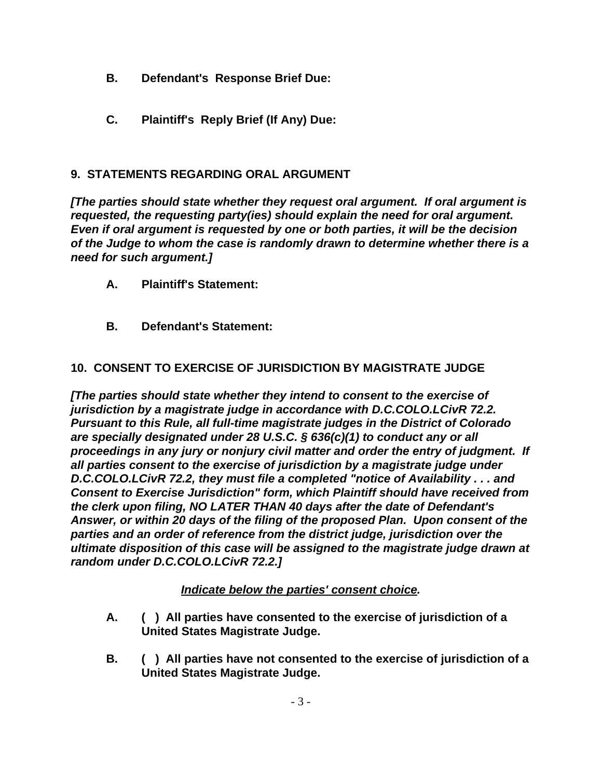- **B. Defendant's Response Brief Due:**
- **C. Plaintiff's Reply Brief (If Any) Due:**

### **9. STATEMENTS REGARDING ORAL ARGUMENT**

**[The parties should state whether they request oral argument. If oral argument is requested, the requesting party(ies) should explain the need for oral argument. Even if oral argument is requested by one or both parties, it will be the decision of the Judge to whom the case is randomly drawn to determine whether there is a need for such argument.]**

- **A. Plaintiff's Statement:**
- **B. Defendant's Statement:**

### **10. CONSENT TO EXERCISE OF JURISDICTION BY MAGISTRATE JUDGE**

**[The parties should state whether they intend to consent to the exercise of jurisdiction by a magistrate judge in accordance with D.C.COLO.LCivR 72.2. Pursuant to this Rule, all full-time magistrate judges in the District of Colorado are specially designated under 28 U.S.C. § 636(c)(1) to conduct any or all proceedings in any jury or nonjury civil matter and order the entry of judgment. If all parties consent to the exercise of jurisdiction by a magistrate judge under D.C.COLO.LCivR 72.2, they must file a completed "notice of Availability . . . and Consent to Exercise Jurisdiction" form, which Plaintiff should have received from the clerk upon filing, NO LATER THAN 40 days after the date of Defendant's Answer, or within 20 days of the filing of the proposed Plan. Upon consent of the parties and an order of reference from the district judge, jurisdiction over the ultimate disposition of this case will be assigned to the magistrate judge drawn at random under D.C.COLO.LCivR 72.2.]**

#### **Indicate below the parties' consent choice.**

- **A. ( ) All parties have consented to the exercise of jurisdiction of a United States Magistrate Judge.**
- **B. ( ) All parties have not consented to the exercise of jurisdiction of a United States Magistrate Judge.**